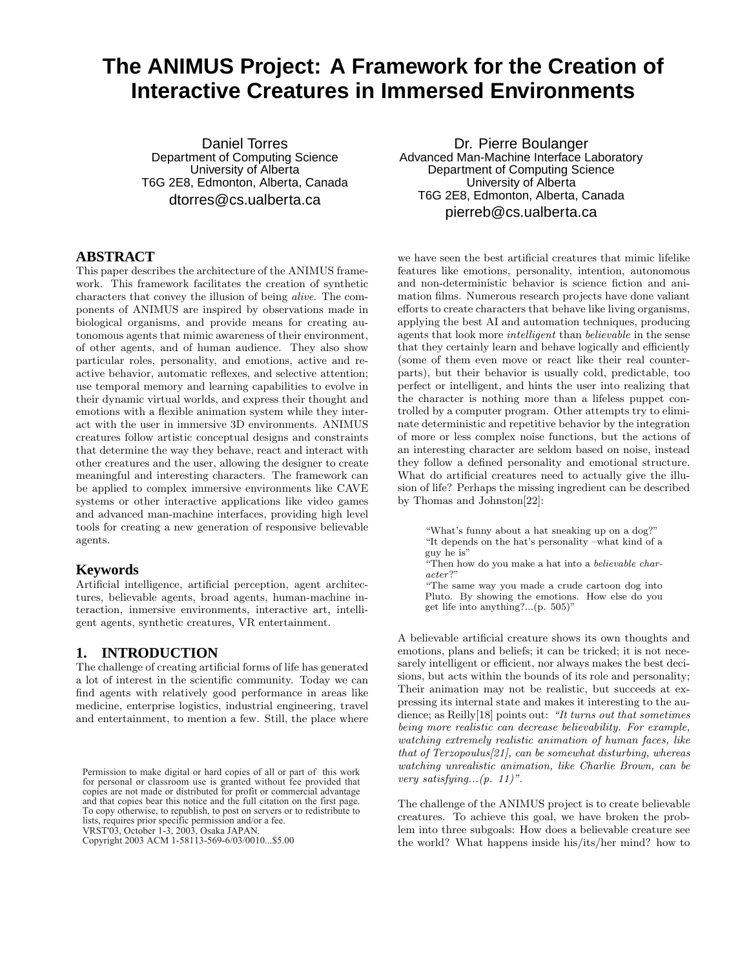# **The ANIMUS Project: A Framework for the Creation of Interactive Creatures in Immersed Environments**

Daniel Torres Department of Computing Science University of Alberta T6G 2E8, Edmonton, Alberta, Canada dtorres@cs.ualberta.ca

## **ABSTRACT**

This paper describes the architecture of the ANIMUS framework. This framework facilitates the creation of synthetic characters that convey the illusion of being alive. The components of ANIMUS are inspired by observations made in biological organisms, and provide means for creating autonomous agents that mimic awareness of their environment, of other agents, and of human audience. They also show particular roles, personality, and emotions, active and reactive behavior, automatic reflexes, and selective attention; use temporal memory and learning capabilities to evolve in their dynamic virtual worlds, and express their thought and emotions with a flexible animation system while they interact with the user in immersive 3D environments. ANIMUS creatures follow artistic conceptual designs and constraints that determine the way they behave, react and interact with other creatures and the user, allowing the designer to create meaningful and interesting characters. The framework can be applied to complex immersive environments like CAVE systems or other interactive applications like video games and advanced man-machine interfaces, providing high level tools for creating a new generation of responsive believable agents.

#### **Keywords**

Artificial intelligence, artificial perception, agent architectures, believable agents, broad agents, human-machine interaction, inmersive environments, interactive art, intelligent agents, synthetic creatures, VR entertainment.

## **1. INTRODUCTION**

The challenge of creating artificial forms of life has generated a lot of interest in the scientific community. Today we can find agents with relatively good performance in areas like medicine, enterprise logistics, industrial engineering, travel and entertainment, to mention a few. Still, the place where

VRST'03, October 1-3, 2003, Osaka JAPAN.

Dr. Pierre Boulanger Advanced Man-Machine Interface Laboratory Department of Computing Science University of Alberta T6G 2E8, Edmonton, Alberta, Canada pierreb@cs.ualberta.ca

we have seen the best artificial creatures that mimic lifelike features like emotions, personality, intention, autonomous and non-deterministic behavior is science fiction and animation films. Numerous research projects have done valiant efforts to create characters that behave like living organisms, applying the best AI and automation techniques, producing agents that look more intelligent than believable in the sense that they certainly learn and behave logically and efficiently (some of them even move or react like their real counterparts), but their behavior is usually cold, predictable, too perfect or intelligent, and hints the user into realizing that the character is nothing more than a lifeless puppet controlled by a computer program. Other attempts try to eliminate deterministic and repetitive behavior by the integration of more or less complex noise functions, but the actions of an interesting character are seldom based on noise, instead they follow a defined personality and emotional structure. What do artificial creatures need to actually give the illusion of life? Perhaps the missing ingredient can be described by Thomas and Johnston[22]:

"What's funny about a hat sneaking up on a dog?" "It depends on the hat's personality –what kind of a guy he is"

"Then how do you make a hat into a *believable character*?"

"The same way you made a crude cartoon dog into Pluto. By showing the emotions. How else do you get life into anything?...(p. 505)"

A believable artificial creature shows its own thoughts and emotions, plans and beliefs; it can be tricked; it is not necesarely intelligent or efficient, nor always makes the best decisions, but acts within the bounds of its role and personality; Their animation may not be realistic, but succeeds at expressing its internal state and makes it interesting to the audience; as Reilly[18] points out: "It turns out that sometimes being more realistic can decrease believability. For example, watching extremely realistic animation of human faces, like that of  $Terzopoulos[21]$ , can be somewhat disturbing, whereas watching unrealistic animation, like Charlie Brown, can be very satisfying... $(p. 11)$ ".

The challenge of the ANIMUS project is to create believable creatures. To achieve this goal, we have broken the problem into three subgoals: How does a believable creature see the world? What happens inside his/its/her mind? how to

Permission to make digital or hard copies of all or part of this work for personal or classroom use is granted without fee provided that copies are not made or distributed for profit or commercial advantage and that copies bear this notice and the full citation on the first page. To copy otherwise, to republish, to post on servers or to redistribute to lists, requires prior specific permission and/or a fee.

Copyright 2003 ACM 1-58113-569-6/03/0010...\$5.00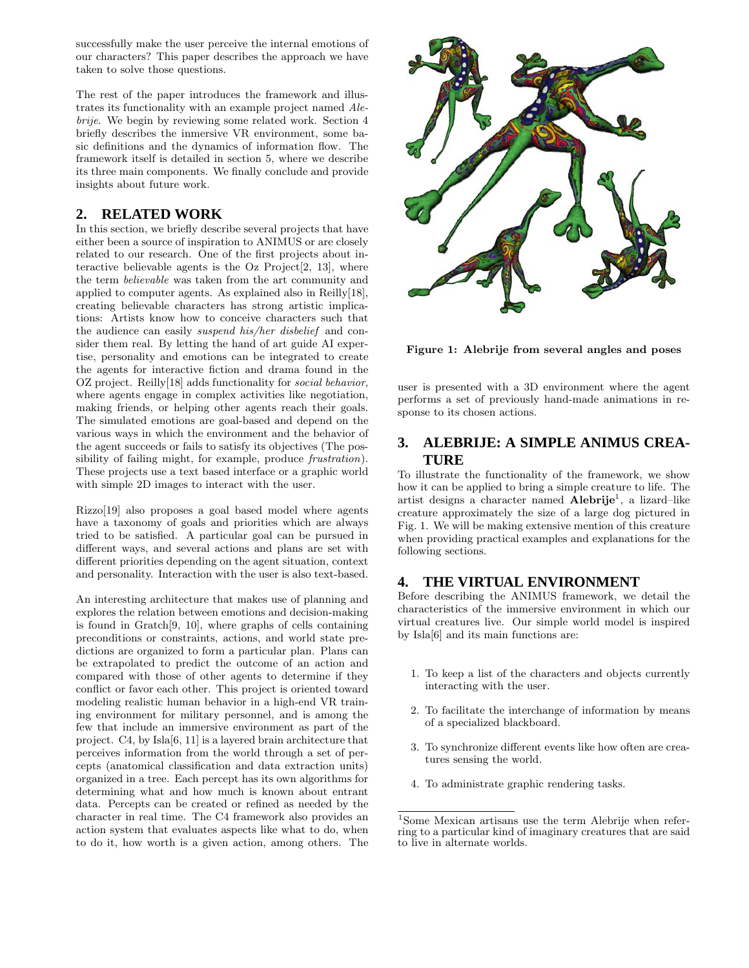successfully make the user perceive the internal emotions of our characters? This paper describes the approach we have taken to solve those questions.

The rest of the paper introduces the framework and illustrates its functionality with an example project named Alebrije. We begin by reviewing some related work. Section 4 briefly describes the inmersive VR environment, some basic definitions and the dynamics of information flow. The framework itself is detailed in section 5, where we describe its three main components. We finally conclude and provide insights about future work.

# **2. RELATED WORK**

In this section, we briefly describe several projects that have either been a source of inspiration to ANIMUS or are closely related to our research. One of the first projects about interactive believable agents is the Oz Project[2, 13], where the term believable was taken from the art community and applied to computer agents. As explained also in Reilly[18], creating believable characters has strong artistic implications: Artists know how to conceive characters such that the audience can easily suspend his/her disbelief and consider them real. By letting the hand of art guide AI expertise, personality and emotions can be integrated to create the agents for interactive fiction and drama found in the OZ project. Reilly[18] adds functionality for social behavior, where agents engage in complex activities like negotiation, making friends, or helping other agents reach their goals. The simulated emotions are goal-based and depend on the various ways in which the environment and the behavior of the agent succeeds or fails to satisfy its objectives (The possibility of failing might, for example, produce frustration). These projects use a text based interface or a graphic world with simple 2D images to interact with the user.

Rizzo[19] also proposes a goal based model where agents have a taxonomy of goals and priorities which are always tried to be satisfied. A particular goal can be pursued in different ways, and several actions and plans are set with different priorities depending on the agent situation, context and personality. Interaction with the user is also text-based.

An interesting architecture that makes use of planning and explores the relation between emotions and decision-making is found in Gratch[9, 10], where graphs of cells containing preconditions or constraints, actions, and world state predictions are organized to form a particular plan. Plans can be extrapolated to predict the outcome of an action and compared with those of other agents to determine if they conflict or favor each other. This project is oriented toward modeling realistic human behavior in a high-end VR training environment for military personnel, and is among the few that include an immersive environment as part of the project. C4, by Isla[6, 11] is a layered brain architecture that perceives information from the world through a set of percepts (anatomical classification and data extraction units) organized in a tree. Each percept has its own algorithms for determining what and how much is known about entrant data. Percepts can be created or refined as needed by the character in real time. The C4 framework also provides an action system that evaluates aspects like what to do, when to do it, how worth is a given action, among others. The



**Figure 1: Alebrije from several angles and poses**

user is presented with a 3D environment where the agent performs a set of previously hand-made animations in response to its chosen actions.

# **3. ALEBRIJE: A SIMPLE ANIMUS CREA-TURE**

To illustrate the functionality of the framework, we show how it can be applied to bring a simple creature to life. The artist designs a character named **Alebrije**<sup>1</sup>, a lizard–like creature approximately the size of a large dog pictured in Fig. 1. We will be making extensive mention of this creature when providing practical examples and explanations for the following sections.

# **4. THE VIRTUAL ENVIRONMENT**

Before describing the ANIMUS framework, we detail the characteristics of the immersive environment in which our virtual creatures live. Our simple world model is inspired by Isla[6] and its main functions are:

- 1. To keep a list of the characters and objects currently interacting with the user.
- 2. To facilitate the interchange of information by means of a specialized blackboard.
- 3. To synchronize different events like how often are creatures sensing the world.
- 4. To administrate graphic rendering tasks.

<sup>1</sup>Some Mexican artisans use the term Alebrije when referring to a particular kind of imaginary creatures that are said to live in alternate worlds.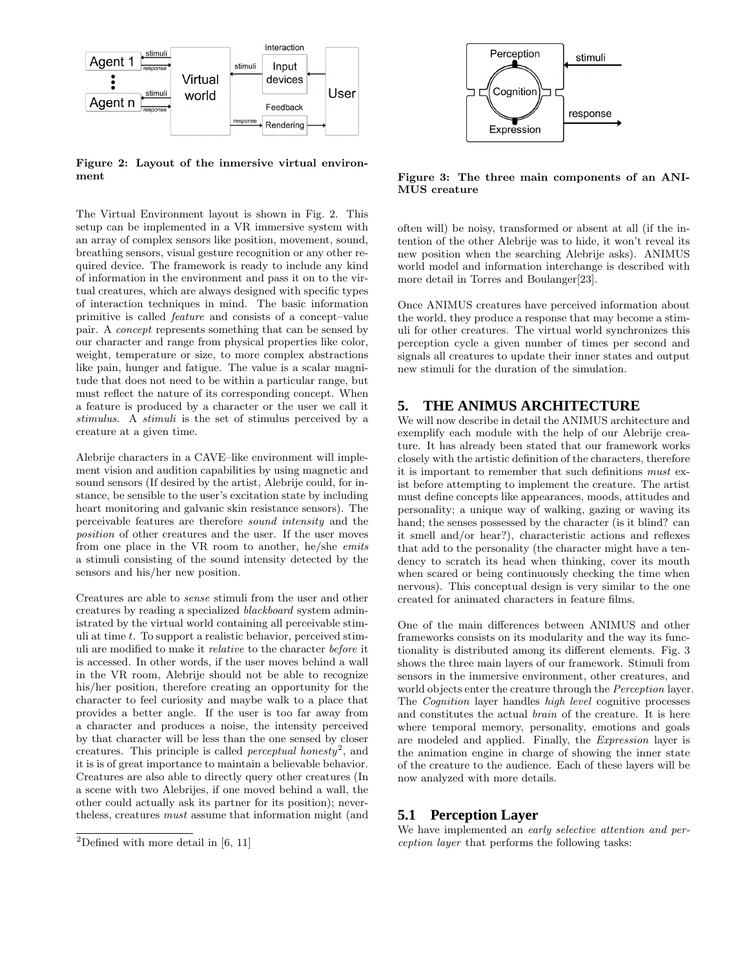

**Figure 2: Layout of the inmersive virtual environment**

The Virtual Environment layout is shown in Fig. 2. This setup can be implemented in a VR immersive system with an array of complex sensors like position, movement, sound, breathing sensors, visual gesture recognition or any other required device. The framework is ready to include any kind of information in the environment and pass it on to the virtual creatures, which are always designed with specific types of interaction techniques in mind. The basic information primitive is called feature and consists of a concept–value pair. A concept represents something that can be sensed by our character and range from physical properties like color, weight, temperature or size, to more complex abstractions like pain, hunger and fatigue. The value is a scalar magnitude that does not need to be within a particular range, but must reflect the nature of its corresponding concept. When a feature is produced by a character or the user we call it stimulus. A stimuli is the set of stimulus perceived by a creature at a given time.

Alebrije characters in a CAVE–like environment will implement vision and audition capabilities by using magnetic and sound sensors (If desired by the artist, Alebrije could, for instance, be sensible to the user's excitation state by including heart monitoring and galvanic skin resistance sensors). The perceivable features are therefore sound intensity and the position of other creatures and the user. If the user moves from one place in the VR room to another, he/she emits a stimuli consisting of the sound intensity detected by the sensors and his/her new position.

Creatures are able to sense stimuli from the user and other creatures by reading a specialized blackboard system administrated by the virtual world containing all perceivable stimuli at time t. To support a realistic behavior, perceived stimuli are modified to make it relative to the character before it is accessed. In other words, if the user moves behind a wall in the VR room, Alebrije should not be able to recognize his/her position, therefore creating an opportunity for the character to feel curiosity and maybe walk to a place that provides a better angle. If the user is too far away from a character and produces a noise, the intensity perceived by that character will be less than the one sensed by closer creatures. This principle is called *perceptual honesty*<sup>2</sup>, and it is is of great importance to maintain a believable behavior. Creatures are also able to directly query other creatures (In a scene with two Alebrijes, if one moved behind a wall, the other could actually ask its partner for its position); nevertheless, creatures must assume that information might (and



**Figure 3: The three main components of an ANI-MUS creature**

often will) be noisy, transformed or absent at all (if the intention of the other Alebrije was to hide, it won't reveal its new position when the searching Alebrije asks). ANIMUS world model and information interchange is described with more detail in Torres and Boulanger[23].

Once ANIMUS creatures have perceived information about the world, they produce a response that may become a stimuli for other creatures. The virtual world synchronizes this perception cycle a given number of times per second and signals all creatures to update their inner states and output new stimuli for the duration of the simulation.

## **5. THE ANIMUS ARCHITECTURE**

We will now describe in detail the ANIMUS architecture and exemplify each module with the help of our Alebrije creature. It has already been stated that our framework works closely with the artistic definition of the characters, therefore it is important to remember that such definitions must exist before attempting to implement the creature. The artist must define concepts like appearances, moods, attitudes and personality; a unique way of walking, gazing or waving its hand; the senses possessed by the character (is it blind? can it smell and/or hear?), characteristic actions and reflexes that add to the personality (the character might have a tendency to scratch its head when thinking, cover its mouth when scared or being continuously checking the time when nervous). This conceptual design is very similar to the one created for animated characters in feature films.

One of the main differences between ANIMUS and other frameworks consists on its modularity and the way its functionality is distributed among its different elements. Fig. 3 shows the three main layers of our framework. Stimuli from sensors in the immersive environment, other creatures, and world objects enter the creature through the *Perception* layer. The Cognition layer handles high level cognitive processes and constitutes the actual brain of the creature. It is here where temporal memory, personality, emotions and goals are modeled and applied. Finally, the Expression layer is the animation engine in charge of showing the inner state of the creature to the audience. Each of these layers will be now analyzed with more details.

#### **5.1 Perception Layer**

We have implemented an *early selective attention and per*ception layer that performs the following tasks:

<sup>&</sup>lt;sup>2</sup>Defined with more detail in [6, 11]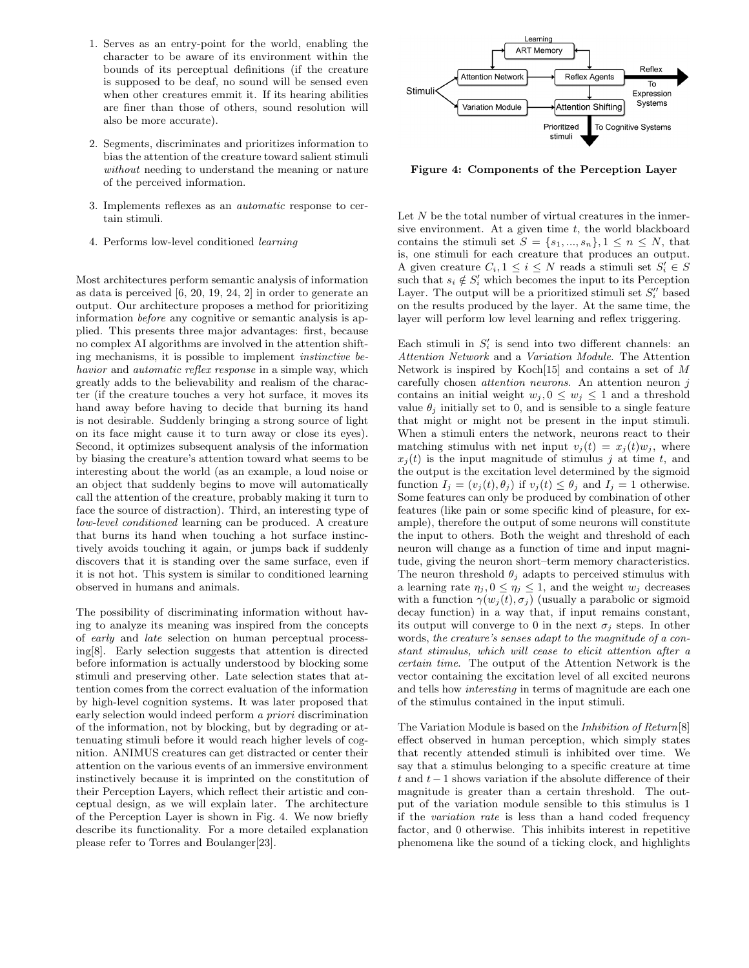- 1. Serves as an entry-point for the world, enabling the character to be aware of its environment within the bounds of its perceptual definitions (if the creature is supposed to be deaf, no sound will be sensed even when other creatures emmit it. If its hearing abilities are finer than those of others, sound resolution will also be more accurate).
- 2. Segments, discriminates and prioritizes information to bias the attention of the creature toward salient stimuli without needing to understand the meaning or nature of the perceived information.
- 3. Implements reflexes as an automatic response to certain stimuli.
- 4. Performs low-level conditioned learning

Most architectures perform semantic analysis of information as data is perceived [6, 20, 19, 24, 2] in order to generate an output. Our architecture proposes a method for prioritizing information before any cognitive or semantic analysis is applied. This presents three major advantages: first, because no complex AI algorithms are involved in the attention shifting mechanisms, it is possible to implement instinctive behavior and automatic reflex response in a simple way, which greatly adds to the believability and realism of the character (if the creature touches a very hot surface, it moves its hand away before having to decide that burning its hand is not desirable. Suddenly bringing a strong source of light on its face might cause it to turn away or close its eyes). Second, it optimizes subsequent analysis of the information by biasing the creature's attention toward what seems to be interesting about the world (as an example, a loud noise or an object that suddenly begins to move will automatically call the attention of the creature, probably making it turn to face the source of distraction). Third, an interesting type of low-level conditioned learning can be produced. A creature that burns its hand when touching a hot surface instinctively avoids touching it again, or jumps back if suddenly discovers that it is standing over the same surface, even if it is not hot. This system is similar to conditioned learning observed in humans and animals.

The possibility of discriminating information without having to analyze its meaning was inspired from the concepts of early and late selection on human perceptual processing[8]. Early selection suggests that attention is directed before information is actually understood by blocking some stimuli and preserving other. Late selection states that attention comes from the correct evaluation of the information by high-level cognition systems. It was later proposed that early selection would indeed perform a priori discrimination of the information, not by blocking, but by degrading or attenuating stimuli before it would reach higher levels of cognition. ANIMUS creatures can get distracted or center their attention on the various events of an immersive environment instinctively because it is imprinted on the constitution of their Perception Layers, which reflect their artistic and conceptual design, as we will explain later. The architecture of the Perception Layer is shown in Fig. 4. We now briefly describe its functionality. For a more detailed explanation please refer to Torres and Boulanger[23].



**Figure 4: Components of the Perception Layer**

Let  $N$  be the total number of virtual creatures in the inmersive environment. At a given time  $t$ , the world blackboard contains the stimuli set  $S = \{s_1, ..., s_n\}, 1 \leq n \leq N$ , that is, one stimuli for each creature that produces an output. A given creature  $C_i, 1 \leq i \leq N$  reads a stimuli set  $S'_i \in S$ such that  $s_i \notin S'_i$  which becomes the input to its Perception Layer. The output will be a prioritized stimuli set  $S_i''$  based on the results produced by the layer. At the same time, the layer will perform low level learning and reflex triggering.

Each stimuli in  $S_i'$  is send into two different channels: an Attention Network and a Variation Module. The Attention Network is inspired by Koch<sup>[15]</sup> and contains a set of  $M$ carefully chosen attention neurons. An attention neuron j contains an initial weight  $w_j$ ,  $0 \leq w_j \leq 1$  and a threshold value  $\theta_i$  initially set to 0, and is sensible to a single feature that might or might not be present in the input stimuli. When a stimuli enters the network, neurons react to their matching stimulus with net input  $v_j(t) = x_j(t)w_j$ , where  $x_j(t)$  is the input magnitude of stimulus j at time t, and the output is the excitation level determined by the sigmoid function  $I_j = (v_j(t), \theta_j)$  if  $v_j(t) \leq \theta_j$  and  $I_j = 1$  otherwise. Some features can only be produced by combination of other features (like pain or some specific kind of pleasure, for example), therefore the output of some neurons will constitute the input to others. Both the weight and threshold of each neuron will change as a function of time and input magnitude, giving the neuron short–term memory characteristics. The neuron threshold  $\theta_j$  adapts to perceived stimulus with a learning rate  $\eta_j$ ,  $0 \leq \eta_j \leq 1$ , and the weight  $w_j$  decreases with a function  $\gamma(w_i(t), \sigma_i)$  (usually a parabolic or sigmoid decay function) in a way that, if input remains constant, its output will converge to 0 in the next  $\sigma_i$  steps. In other words, the creature's senses adapt to the magnitude of a constant stimulus, which will cease to elicit attention after a certain time. The output of the Attention Network is the vector containing the excitation level of all excited neurons and tells how interesting in terms of magnitude are each one of the stimulus contained in the input stimuli.

The Variation Module is based on the Inhibition of Return[8] effect observed in human perception, which simply states that recently attended stimuli is inhibited over time. We say that a stimulus belonging to a specific creature at time t and  $t-1$  shows variation if the absolute difference of their magnitude is greater than a certain threshold. The output of the variation module sensible to this stimulus is 1 if the variation rate is less than a hand coded frequency factor, and 0 otherwise. This inhibits interest in repetitive phenomena like the sound of a ticking clock, and highlights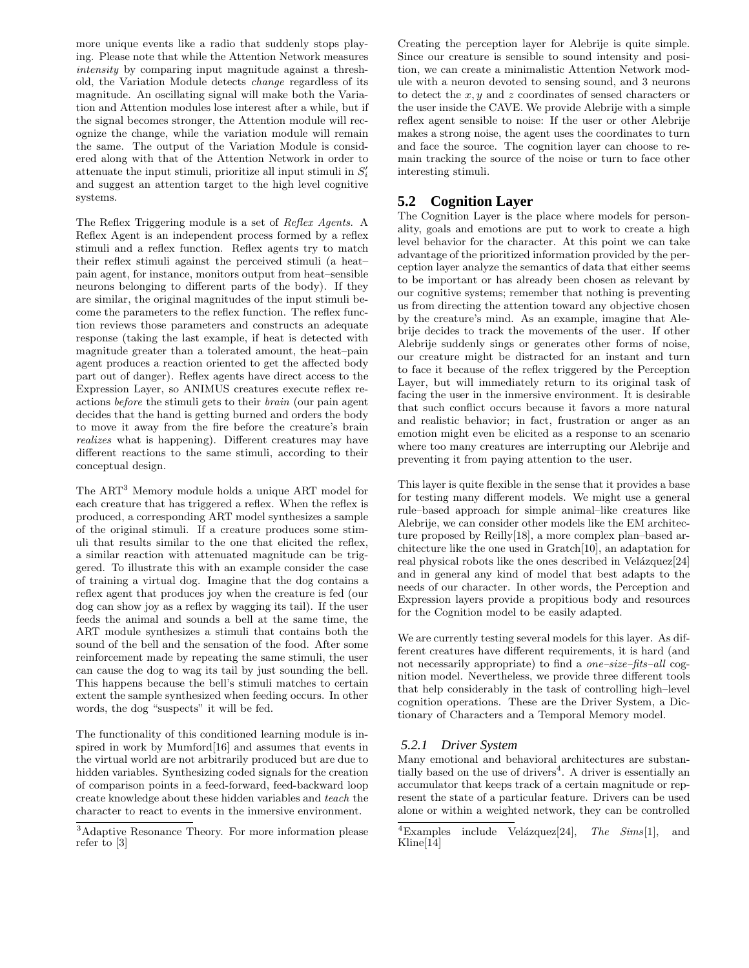more unique events like a radio that suddenly stops playing. Please note that while the Attention Network measures intensity by comparing input magnitude against a threshold, the Variation Module detects change regardless of its magnitude. An oscillating signal will make both the Variation and Attention modules lose interest after a while, but if the signal becomes stronger, the Attention module will recognize the change, while the variation module will remain the same. The output of the Variation Module is considered along with that of the Attention Network in order to attenuate the input stimuli, prioritize all input stimuli in S *i* and suggest an attention target to the high level cognitive systems.

The Reflex Triggering module is a set of Reflex Agents. A Reflex Agent is an independent process formed by a reflex stimuli and a reflex function. Reflex agents try to match their reflex stimuli against the perceived stimuli (a heat– pain agent, for instance, monitors output from heat–sensible neurons belonging to different parts of the body). If they are similar, the original magnitudes of the input stimuli become the parameters to the reflex function. The reflex function reviews those parameters and constructs an adequate response (taking the last example, if heat is detected with magnitude greater than a tolerated amount, the heat–pain agent produces a reaction oriented to get the affected body part out of danger). Reflex agents have direct access to the Expression Layer, so ANIMUS creatures execute reflex reactions before the stimuli gets to their brain (our pain agent decides that the hand is getting burned and orders the body to move it away from the fire before the creature's brain realizes what is happening). Different creatures may have different reactions to the same stimuli, according to their conceptual design.

The ART<sup>3</sup> Memory module holds a unique ART model for each creature that has triggered a reflex. When the reflex is produced, a corresponding ART model synthesizes a sample of the original stimuli. If a creature produces some stimuli that results similar to the one that elicited the reflex, a similar reaction with attenuated magnitude can be triggered. To illustrate this with an example consider the case of training a virtual dog. Imagine that the dog contains a reflex agent that produces joy when the creature is fed (our dog can show joy as a reflex by wagging its tail). If the user feeds the animal and sounds a bell at the same time, the ART module synthesizes a stimuli that contains both the sound of the bell and the sensation of the food. After some reinforcement made by repeating the same stimuli, the user can cause the dog to wag its tail by just sounding the bell. This happens because the bell's stimuli matches to certain extent the sample synthesized when feeding occurs. In other words, the dog "suspects" it will be fed.

The functionality of this conditioned learning module is inspired in work by Mumford[16] and assumes that events in the virtual world are not arbitrarily produced but are due to hidden variables. Synthesizing coded signals for the creation of comparison points in a feed-forward, feed-backward loop create knowledge about these hidden variables and teach the character to react to events in the inmersive environment.

Creating the perception layer for Alebrije is quite simple. Since our creature is sensible to sound intensity and position, we can create a minimalistic Attention Network module with a neuron devoted to sensing sound, and 3 neurons to detect the  $x, y$  and  $z$  coordinates of sensed characters or the user inside the CAVE. We provide Alebrije with a simple reflex agent sensible to noise: If the user or other Alebrije makes a strong noise, the agent uses the coordinates to turn and face the source. The cognition layer can choose to remain tracking the source of the noise or turn to face other interesting stimuli.

# **5.2 Cognition Layer**

The Cognition Layer is the place where models for personality, goals and emotions are put to work to create a high level behavior for the character. At this point we can take advantage of the prioritized information provided by the perception layer analyze the semantics of data that either seems to be important or has already been chosen as relevant by our cognitive systems; remember that nothing is preventing us from directing the attention toward any objective chosen by the creature's mind. As an example, imagine that Alebrije decides to track the movements of the user. If other Alebrije suddenly sings or generates other forms of noise, our creature might be distracted for an instant and turn to face it because of the reflex triggered by the Perception Layer, but will immediately return to its original task of facing the user in the inmersive environment. It is desirable that such conflict occurs because it favors a more natural and realistic behavior; in fact, frustration or anger as an emotion might even be elicited as a response to an scenario where too many creatures are interrupting our Alebrije and preventing it from paying attention to the user.

This layer is quite flexible in the sense that it provides a base for testing many different models. We might use a general rule–based approach for simple animal–like creatures like Alebrije, we can consider other models like the EM architecture proposed by Reilly[18], a more complex plan–based architecture like the one used in Gratch[10], an adaptation for real physical robots like the ones described in Velázquez[24] and in general any kind of model that best adapts to the needs of our character. In other words, the Perception and Expression layers provide a propitious body and resources for the Cognition model to be easily adapted.

We are currently testing several models for this layer. As different creatures have different requirements, it is hard (and not necessarily appropriate) to find a one–size–fits–all cognition model. Nevertheless, we provide three different tools that help considerably in the task of controlling high–level cognition operations. These are the Driver System, a Dictionary of Characters and a Temporal Memory model.

## *5.2.1 Driver System*

Many emotional and behavioral architectures are substantially based on the use of drivers<sup>4</sup>. A driver is essentially an accumulator that keeps track of a certain magnitude or represent the state of a particular feature. Drivers can be used alone or within a weighted network, they can be controlled

<sup>3</sup>Adaptive Resonance Theory. For more information please refer to [3]

<sup>&</sup>lt;sup>4</sup>Examples include Velázquez[24], The Sims[1], and Kline[14]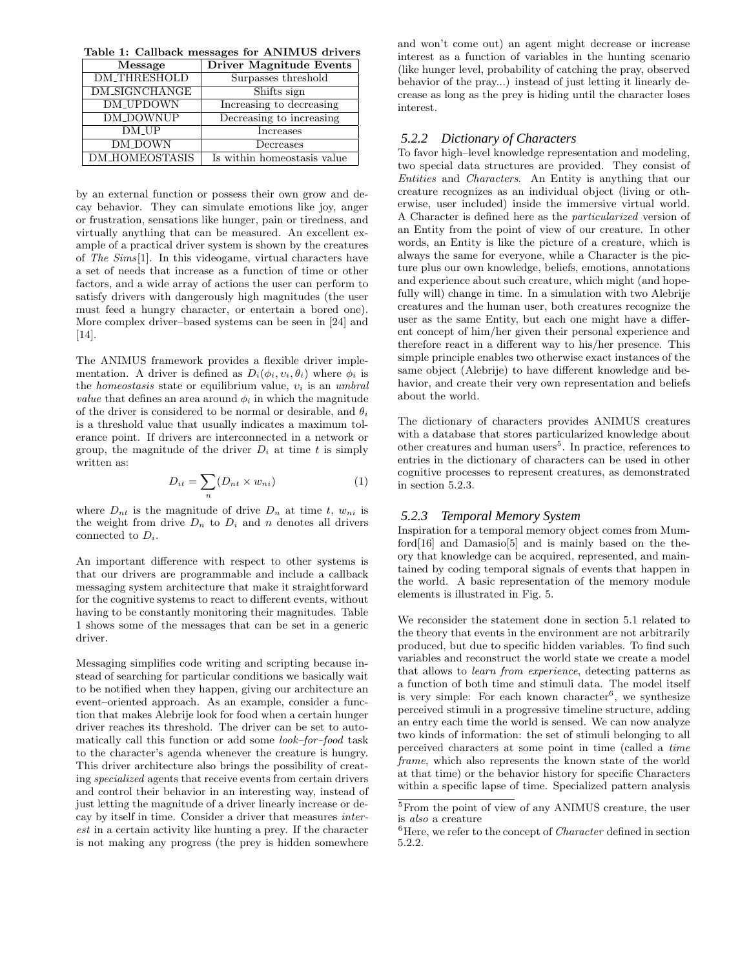**Table 1: Callback messages for ANIMUS drivers**

| Message               | <b>Driver Magnitude Events</b> |
|-----------------------|--------------------------------|
| <b>DM_THRESHOLD</b>   | Surpasses threshold            |
| <b>DM_SIGNCHANGE</b>  | Shifts sign                    |
| <b>DM_UPDOWN</b>      | Increasing to decreasing       |
| <b>DM_DOWNUP</b>      | Decreasing to increasing       |
| DM UP                 | Increases                      |
| DM_DOWN               | Decreases                      |
| <b>DM_HOMEOSTASIS</b> | Is within homeostasis value    |

by an external function or possess their own grow and decay behavior. They can simulate emotions like joy, anger or frustration, sensations like hunger, pain or tiredness, and virtually anything that can be measured. An excellent example of a practical driver system is shown by the creatures of The Sims[1]. In this videogame, virtual characters have a set of needs that increase as a function of time or other factors, and a wide array of actions the user can perform to satisfy drivers with dangerously high magnitudes (the user must feed a hungry character, or entertain a bored one). More complex driver–based systems can be seen in [24] and [14].

The ANIMUS framework provides a flexible driver implementation. A driver is defined as  $D_i(\phi_i, v_i, \theta_i)$  where  $\phi_i$  is the homeostasis state or equilibrium value, υ*<sup>i</sup>* is an umbral *value* that defines an area around  $\phi_i$  in which the magnitude of the driver is considered to be normal or desirable, and  $\theta_i$ is a threshold value that usually indicates a maximum tolerance point. If drivers are interconnected in a network or group, the magnitude of the driver  $D_i$  at time t is simply written as:

$$
D_{it} = \sum_{n} (D_{nt} \times w_{ni})
$$
 (1)

where  $D_{nt}$  is the magnitude of drive  $D_n$  at time t,  $w_{ni}$  is the weight from drive  $D_n$  to  $D_i$  and n denotes all drivers connected to D*i*.

An important difference with respect to other systems is that our drivers are programmable and include a callback messaging system architecture that make it straightforward for the cognitive systems to react to different events, without having to be constantly monitoring their magnitudes. Table 1 shows some of the messages that can be set in a generic driver.

Messaging simplifies code writing and scripting because instead of searching for particular conditions we basically wait to be notified when they happen, giving our architecture an event–oriented approach. As an example, consider a function that makes Alebrije look for food when a certain hunger driver reaches its threshold. The driver can be set to automatically call this function or add some look–for–food task to the character's agenda whenever the creature is hungry. This driver architecture also brings the possibility of creating specialized agents that receive events from certain drivers and control their behavior in an interesting way, instead of just letting the magnitude of a driver linearly increase or decay by itself in time. Consider a driver that measures interest in a certain activity like hunting a prey. If the character is not making any progress (the prey is hidden somewhere and won't come out) an agent might decrease or increase interest as a function of variables in the hunting scenario (like hunger level, probability of catching the pray, observed behavior of the pray...) instead of just letting it linearly decrease as long as the prey is hiding until the character loses interest.

#### *5.2.2 Dictionary of Characters*

To favor high–level knowledge representation and modeling, two special data structures are provided. They consist of Entities and Characters. An Entity is anything that our creature recognizes as an individual object (living or otherwise, user included) inside the immersive virtual world. A Character is defined here as the particularized version of an Entity from the point of view of our creature. In other words, an Entity is like the picture of a creature, which is always the same for everyone, while a Character is the picture plus our own knowledge, beliefs, emotions, annotations and experience about such creature, which might (and hopefully will) change in time. In a simulation with two Alebrije creatures and the human user, both creatures recognize the user as the same Entity, but each one might have a different concept of him/her given their personal experience and therefore react in a different way to his/her presence. This simple principle enables two otherwise exact instances of the same object (Alebrije) to have different knowledge and behavior, and create their very own representation and beliefs about the world.

The dictionary of characters provides ANIMUS creatures with a database that stores particularized knowledge about other creatures and human users<sup>5</sup>. In practice, references to entries in the dictionary of characters can be used in other cognitive processes to represent creatures, as demonstrated in section 5.2.3.

#### *5.2.3 Temporal Memory System*

Inspiration for a temporal memory object comes from Mumford[16] and Damasio[5] and is mainly based on the theory that knowledge can be acquired, represented, and maintained by coding temporal signals of events that happen in the world. A basic representation of the memory module elements is illustrated in Fig. 5.

We reconsider the statement done in section 5.1 related to the theory that events in the environment are not arbitrarily produced, but due to specific hidden variables. To find such variables and reconstruct the world state we create a model that allows to learn from experience, detecting patterns as a function of both time and stimuli data. The model itself is very simple: For each known character<sup>6</sup>, we synthesize perceived stimuli in a progressive timeline structure, adding an entry each time the world is sensed. We can now analyze two kinds of information: the set of stimuli belonging to all perceived characters at some point in time (called a time frame, which also represents the known state of the world at that time) or the behavior history for specific Characters within a specific lapse of time. Specialized pattern analysis

<sup>5</sup>From the point of view of any ANIMUS creature, the user is also a creature

 ${}^{6}$ Here, we refer to the concept of *Character* defined in section 5.2.2.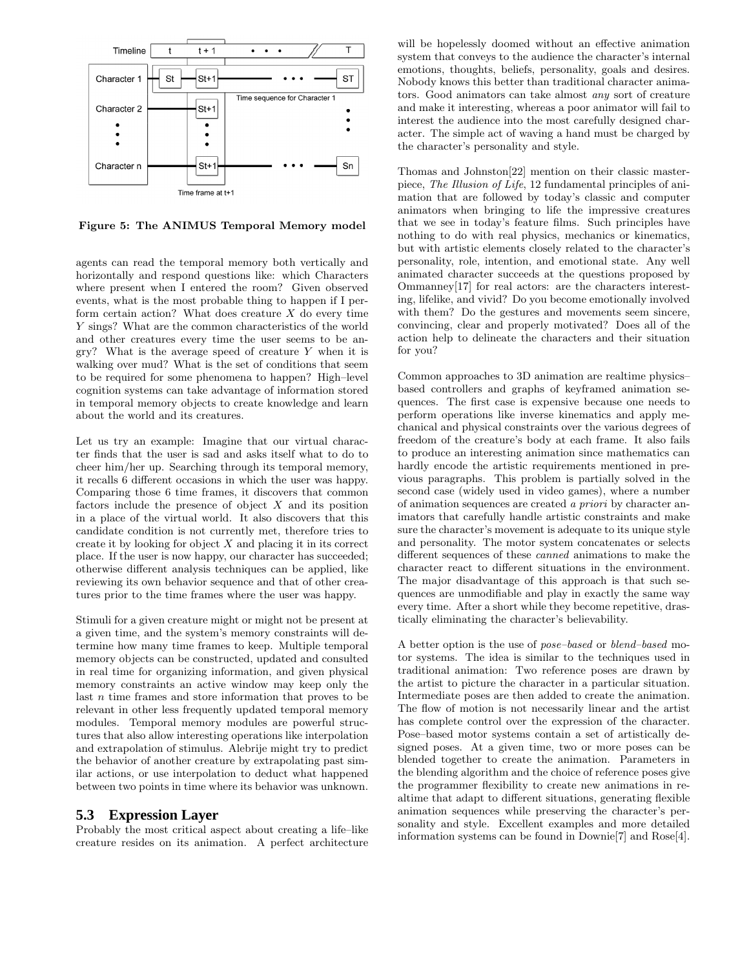

**Figure 5: The ANIMUS Temporal Memory model**

agents can read the temporal memory both vertically and horizontally and respond questions like: which Characters where present when I entered the room? Given observed events, what is the most probable thing to happen if I perform certain action? What does creature  $X$  do every time Y sings? What are the common characteristics of the world and other creatures every time the user seems to be angry? What is the average speed of creature  $Y$  when it is walking over mud? What is the set of conditions that seem to be required for some phenomena to happen? High–level cognition systems can take advantage of information stored in temporal memory objects to create knowledge and learn about the world and its creatures.

Let us try an example: Imagine that our virtual character finds that the user is sad and asks itself what to do to cheer him/her up. Searching through its temporal memory, it recalls 6 different occasions in which the user was happy. Comparing those 6 time frames, it discovers that common factors include the presence of object  $X$  and its position in a place of the virtual world. It also discovers that this candidate condition is not currently met, therefore tries to create it by looking for object X and placing it in its correct place. If the user is now happy, our character has succeeded; otherwise different analysis techniques can be applied, like reviewing its own behavior sequence and that of other creatures prior to the time frames where the user was happy.

Stimuli for a given creature might or might not be present at a given time, and the system's memory constraints will determine how many time frames to keep. Multiple temporal memory objects can be constructed, updated and consulted in real time for organizing information, and given physical memory constraints an active window may keep only the last n time frames and store information that proves to be relevant in other less frequently updated temporal memory modules. Temporal memory modules are powerful structures that also allow interesting operations like interpolation and extrapolation of stimulus. Alebrije might try to predict the behavior of another creature by extrapolating past similar actions, or use interpolation to deduct what happened between two points in time where its behavior was unknown.

#### **5.3 Expression Layer**

Probably the most critical aspect about creating a life–like creature resides on its animation. A perfect architecture

will be hopelessly doomed without an effective animation system that conveys to the audience the character's internal emotions, thoughts, beliefs, personality, goals and desires. Nobody knows this better than traditional character animators. Good animators can take almost any sort of creature and make it interesting, whereas a poor animator will fail to interest the audience into the most carefully designed character. The simple act of waving a hand must be charged by the character's personality and style.

Thomas and Johnston[22] mention on their classic masterpiece, The Illusion of Life, 12 fundamental principles of animation that are followed by today's classic and computer animators when bringing to life the impressive creatures that we see in today's feature films. Such principles have nothing to do with real physics, mechanics or kinematics, but with artistic elements closely related to the character's personality, role, intention, and emotional state. Any well animated character succeeds at the questions proposed by Ommanney[17] for real actors: are the characters interesting, lifelike, and vivid? Do you become emotionally involved with them? Do the gestures and movements seem sincere, convincing, clear and properly motivated? Does all of the action help to delineate the characters and their situation for you?

Common approaches to 3D animation are realtime physics– based controllers and graphs of keyframed animation sequences. The first case is expensive because one needs to perform operations like inverse kinematics and apply mechanical and physical constraints over the various degrees of freedom of the creature's body at each frame. It also fails to produce an interesting animation since mathematics can hardly encode the artistic requirements mentioned in previous paragraphs. This problem is partially solved in the second case (widely used in video games), where a number of animation sequences are created a priori by character animators that carefully handle artistic constraints and make sure the character's movement is adequate to its unique style and personality. The motor system concatenates or selects different sequences of these canned animations to make the character react to different situations in the environment. The major disadvantage of this approach is that such sequences are unmodifiable and play in exactly the same way every time. After a short while they become repetitive, drastically eliminating the character's believability.

A better option is the use of pose–based or blend–based motor systems. The idea is similar to the techniques used in traditional animation: Two reference poses are drawn by the artist to picture the character in a particular situation. Intermediate poses are then added to create the animation. The flow of motion is not necessarily linear and the artist has complete control over the expression of the character. Pose–based motor systems contain a set of artistically designed poses. At a given time, two or more poses can be blended together to create the animation. Parameters in the blending algorithm and the choice of reference poses give the programmer flexibility to create new animations in realtime that adapt to different situations, generating flexible animation sequences while preserving the character's personality and style. Excellent examples and more detailed information systems can be found in Downie[7] and Rose[4].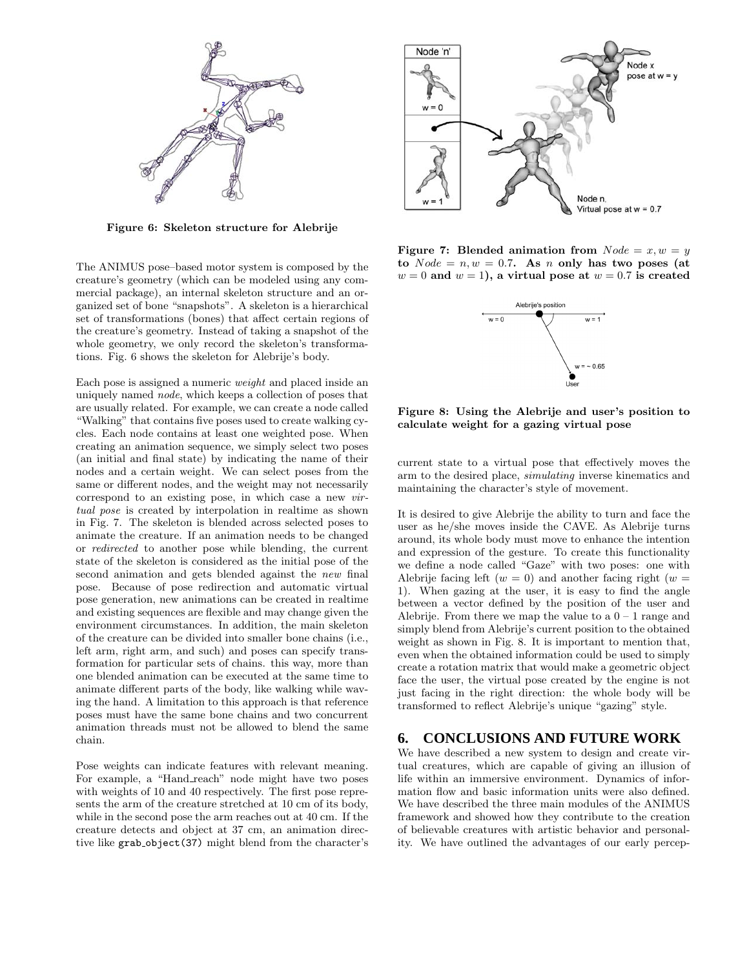

**Figure 6: Skeleton structure for Alebrije**

The ANIMUS pose–based motor system is composed by the creature's geometry (which can be modeled using any commercial package), an internal skeleton structure and an organized set of bone "snapshots". A skeleton is a hierarchical set of transformations (bones) that affect certain regions of the creature's geometry. Instead of taking a snapshot of the whole geometry, we only record the skeleton's transformations. Fig. 6 shows the skeleton for Alebrije's body.

Each pose is assigned a numeric weight and placed inside an uniquely named node, which keeps a collection of poses that are usually related. For example, we can create a node called "Walking" that contains five poses used to create walking cycles. Each node contains at least one weighted pose. When creating an animation sequence, we simply select two poses (an initial and final state) by indicating the name of their nodes and a certain weight. We can select poses from the same or different nodes, and the weight may not necessarily correspond to an existing pose, in which case a new virtual pose is created by interpolation in realtime as shown in Fig. 7. The skeleton is blended across selected poses to animate the creature. If an animation needs to be changed or redirected to another pose while blending, the current state of the skeleton is considered as the initial pose of the second animation and gets blended against the new final pose. Because of pose redirection and automatic virtual pose generation, new animations can be created in realtime and existing sequences are flexible and may change given the environment circumstances. In addition, the main skeleton of the creature can be divided into smaller bone chains (i.e., left arm, right arm, and such) and poses can specify transformation for particular sets of chains. this way, more than one blended animation can be executed at the same time to animate different parts of the body, like walking while waving the hand. A limitation to this approach is that reference poses must have the same bone chains and two concurrent animation threads must not be allowed to blend the same chain.

Pose weights can indicate features with relevant meaning. For example, a "Hand\_reach" node might have two poses with weights of 10 and 40 respectively. The first pose represents the arm of the creature stretched at 10 cm of its body, while in the second pose the arm reaches out at 40 cm. If the creature detects and object at 37 cm, an animation directive like grab object(37) might blend from the character's



**Figure 7:** Blended animation from  $Node = x, w = y$  $\mathbf{to} \; Node = n, w = 0.7$ . As *n* only has two poses (at  $w = 0$  and  $w = 1$ , a virtual pose at  $w = 0.7$  is created



**Figure 8: Using the Alebrije and user's position to calculate weight for a gazing virtual pose**

current state to a virtual pose that effectively moves the arm to the desired place, simulating inverse kinematics and maintaining the character's style of movement.

It is desired to give Alebrije the ability to turn and face the user as he/she moves inside the CAVE. As Alebrije turns around, its whole body must move to enhance the intention and expression of the gesture. To create this functionality we define a node called "Gaze" with two poses: one with Alebrije facing left ( $w = 0$ ) and another facing right ( $w = 0$ ) 1). When gazing at the user, it is easy to find the angle between a vector defined by the position of the user and Alebrije. From there we map the value to a  $0 - 1$  range and simply blend from Alebrije's current position to the obtained weight as shown in Fig. 8. It is important to mention that, even when the obtained information could be used to simply create a rotation matrix that would make a geometric object face the user, the virtual pose created by the engine is not just facing in the right direction: the whole body will be transformed to reflect Alebrije's unique "gazing" style.

#### **6. CONCLUSIONS AND FUTURE WORK**

We have described a new system to design and create virtual creatures, which are capable of giving an illusion of life within an immersive environment. Dynamics of information flow and basic information units were also defined. We have described the three main modules of the ANIMUS framework and showed how they contribute to the creation of believable creatures with artistic behavior and personality. We have outlined the advantages of our early percep-